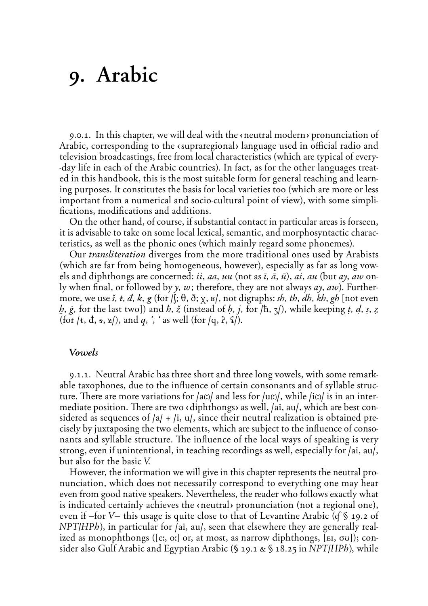# 9. Arabic

9.0.1. In this chapter, we will deal with the eneutral modern pronunciation of Arabic, corresponding to the esupraregional language used in official radio and television broadcastings, free from local characteristics (which are typical of every- -day life in each of the Arabic countries). In fact, as for the other languages treated in this handbook, this is the most suitable form for general teaching and learning purposes. It constitutes the basis for local varieties too (which are more or less important from a numerical and socio-cultural point of view), with some simplifications, modifications and additions.

On the other hand, of course, if substantial contact in particular areas is forseen, it is advisable to take on some local lexical, semantic, and morphosyntactic characteristics, as well as the phonic ones (which mainly regard some phonemes).

Our *transliteration* diverges from the more traditional ones used by Arabists (which are far from being homogeneous, however), especially as far as long vowels and diphthongs are concerned: *ii*, *aa*, *uu* (not as *ī*, *ā*, *ū*), *ai*, *au* (but *ay*, *aw* only when final, or followed by *γ*, *w*; therefore, they are not always *aγ*, *aw*). Furthermore, we use *š*,  $\hat{t}$ ,  $\hat{d}$ ,  $\hat{k}$ ,  $\hat{g}$  (for  $\hat{\beta}$ ;  $\hat{\theta}$ ,  $\hat{\theta}$ ;  $\hat{\gamma}$ ,  $\hat{\mu}$ ), not digraphs: *sh*, *th*, *dh*, *kh*, *gh* [not even *h*,  $\dot{g}$ , for the last two]) and  $\dot{h}$ ,  $\dot{z}$  (instead of  $h$ ,  $j$ , for  $/\hbar$ ,  $\zeta$ ), while keeping  $t$ ,  $d$ ,  $s$ ,  $z$ (for  $/\varepsilon$ ,  $\frac{d}{dx}$ ,  $\frac{d}{dx}$ ,  $\frac{d}{dx}$ ), and  $q$ ,  $\frac{d}{dx}$ ,  $\frac{d}{dx}$  well (for  $/q$ ,  $2$ ,  $\frac{d}{dx}$ ).

# **Vowels**

9.1.1. Neutral Arabic has three short and three long vowels, with some remarkable taxophones, due to the influence of certain consonants and of syllable structure. There are more variations for /a(:)/ and less for /u(:)/, while /i(:)/ is in an intermediate position. There are two *s* diphthongs as well, /ai, au/, which are best considered as sequences of **/a/** + **/i, u/**, since their neutral realization is obtained precisely by juxtaposing the two elements, which are subject to the influence of consonants and syllable structure. The influence of the local ways of speaking is very strong, even if unintentional, in teaching recordings as well, especially for **/ai, au/**, but also for the basic *V˘*

However, the information we will give in this chapter represents the neutral pronunciation, which does not necessarily correspond to everything one may hear even from good native speakers. Nevertheless, the reader who follows exactly what is indicated certainly achieves the eneutral pronunciation (not a regional one), even if –for *V–* this usage is quite close to that of Levantine Arabic (*Ô* § 19.2 of *NPT/HPh]*, in particular for **/ai, au/**, seen that elsewhere they are generally realized as monophthongs ([e:, o:] or, at most, as narrow diphthongs, [EI,  $\sigma$ u]); consider also Gulf Arabic and Egyptian Arabic (§ 19.1 & § 18.25 in *NPT*/HPh), while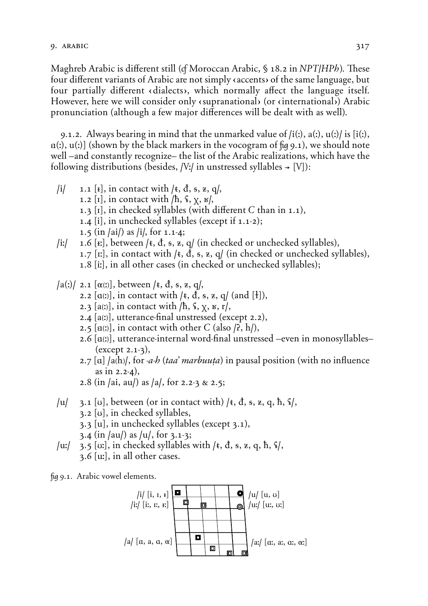Maghreb Arabic is different still (*c*f Moroccan Arabic, § 18.2 in *NPT*/*HPh*). These four different variants of Arabic are not simply  $\alpha$  accents of the same language, but four partially different (dialects), which normally affect the language itself. However, here we will consider only esupranational (or einternational) Arabic pronunciation (although a few major differences will be dealt with as well).

9.1.2. Always bearing in mind that the unmarked value of **/i{:}, a{:}, u{:}/** is **(i{:}, Ä{:}, u{:})** (shown by the black markers in the vocogram of *û* 9.1), we should note well –and constantly recognize– the list of the Arabic realizations, which have the following distributions (besides,  $/V$ :/ in unstressed syllables  $\rightarrow$  [V]):

- $\begin{bmatrix} i \\ j \end{bmatrix}$ , in contact with  $\begin{bmatrix} k \\ j \end{bmatrix}$ ,  $\ddot{a}$ ,  $\ddot{b}$ ,  $\ddot{c}$ ,  $\ddot{c}$ ,  $\ddot{d}$ ,  $\ddot{c}$ ,  $\ddot{c}$ ,  $\ddot{d}$ , 1.2  $\left[\text{I}\right]$ , in contact with  $/h$ ,  $\frac{1}{2}$ ,  $\frac{1}{2}$ ,  $\frac{1}{2}$ , 1.3  $[I]$ , in checked syllables (with different  $C$  than in 1.1), 1.4 **(i),** in unchecked syllables (except if 1.1-2); 1.5 (in **/ai/**) as **/i/,** for 1.1-4;  $\lvert \textbf{i} \rvert$  1.6 **[r**], between /**t**, **d**, **s**, **z**, **q**/ (in checked or unchecked syllables),
- 1.7 [ $\text{tr}$ ], in contact with / $\text{t}$ ,  $\text{d}$ ,  $\text{s}$ ,  $\text{z}$ ,  $\text{q}$ / (in checked or unchecked syllables), 1.8 **(i:),** in all other cases (in checked or unchecked syllables);
- $\int a(x) \, dx$ ,  $\int a(x) \, dx$ ,  $\int b(x) \, dx$ , between  $\int t$ ,  $\int d$ ,  $\int s$ ,  $\int z$ ,  $\int d$ ,
	- 2.2  $[a(1)]$ , in contact with  $/$ **t**,  $d$ ,  $s$ ,  $z$ ,  $q/$  (and  $[t]$ ),
	- 2.3  $[a(x)]$ , in contact with  $/h$ ,  $\frac{1}{2}$ ,  $\frac{1}{2}$ ,  $\frac{1}{2}$ ,  $\frac{1}{2}$ ,  $\frac{1}{2}$ ,  $\frac{1}{2}$ ,  $\frac{1}{2}$ ,  $\frac{1}{2}$ ,  $\frac{1}{2}$ ,  $\frac{1}{2}$ ,  $\frac{1}{2}$ ,  $\frac{1}{2}$ ,  $\frac{1}{2}$ ,  $\frac{1}{2}$ ,  $\frac{1}{2}$ ,  $\frac{1}{2}$ ,  $\frac{1}{2}$ ,  $\$
	- 2.4 **(a***[:]***),** utterance-final unstressed (except 2.2),
	- 2.5  $[a(2)]$ , in contact with other *C* (also  $\beta$ , h/),
	- 2.6 [a(x)], utterance-internal word-final unstressed –even in monosyllables– (except 2.1-3),
	- 2.7 [a] /a(h)/, for *-a-h* (*taa' marbuuta*) in pausal position (with no influence as in 2.2-4),
	- 2.8 (in /ai, au/) as /a/, for 2.2-3 & 2.5;
- **/u/** 3.1 **(U)**, between (or in contact with) **/***t***,** *d***,** *†***,** *Ã***,** *›***,** *h***,** *H***/**, 3.2 **(U)**, in checked syllables,
	- 3.3 **(u)**, in unchecked syllables (except 3.1),
	- 3.4 (in **/au/**) as /u/, for 3.1-3;
- **/u:/** 3.5 **(U:)**, in checked syllables with **/***t***,** *d***,** *†***,** *Ã***,** *›***,** *h***,** *H***/**, 3.6 **(u:)**, in all other cases.

*û* 9.1. Arabic vowel elements.

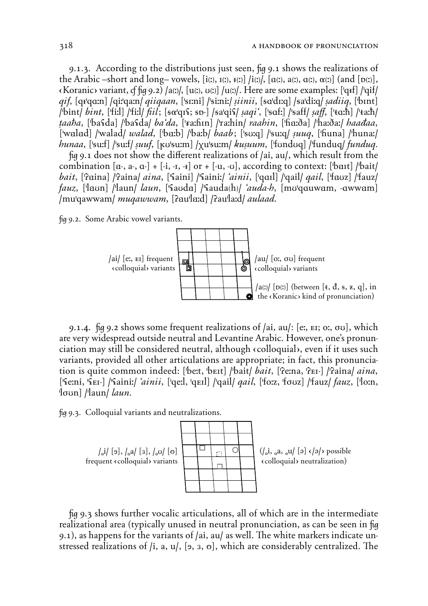9.1.3. According to the distributions just seen, fig 9.1 shows the realizations of the Arabic -short and long-vowels,  $[i(x), i(x), i(x)]/i(x)/[a(x), a(x), a(x), \alpha(x)]$  (and  $[b(x)],$  $\langle$ Koranic> variant, cf fig 9.2) /a(x), [u(x), v(x)] /u(x)/. Here are some examples: ['q+f] /'qif/ gif, [qr'qa:n] /qi:'qa:n/ giigaan, ['sɪ:ni] /'si:ni:/ siinii, [sa'dɪ:q] /sa'di:q/ sadiig, ['bɪnt] /bint/ bint, ['fiːl] /'fiːl/ fiil; [so'q1\f; sp-] /sa'qi\f/ saqi`, ['saf:] /'saff/ saff, ['ta:h] /'ta:h/ taaba, [basda] /basda] ba'da, ['raːhɪn] /raːhin] raahin, ['haːða] /haːðaː] haadaa, ['walad] /'walad/ walad, ['ba:b] /'ba:b/ baab; ['sv:q] /'su:q/ suuq, ['fiuna] /'huna:/ hunaa, ['su:f] /'su:f/ suuf, [kʊ'su:m] /xu'su:m/ kusuum, ['fondoq] /'funduq/ funduq.

fig 9.1 does not show the different realizations of /ai, au/, which result from the combination [a-, a-, a-] + [-i, -i, -i] or + [-u, -v], according to context: [bail] /bait/ bait, ['Paina] /'Paina/ aina, ['Saini] /'Saini:/ 'ainii, ['qaɪl] /'qail/ qail, ['fauz] /'fauz/ *fauz*, ['laun] /'laun/ *laun*, ['fauda] /'fauda(h)/ *'auda-h*, [mu'qquwam, -qwwam] /mu'qawwam/ muqawwam, [?au'la:d] /?au'la:d/ *aulaad*.

fig 9.2. Some Arabic vowel variants.



9.1.4. fig 9.2 shows some frequent realizations of /ai, au/: [e.,  $E$ ]; o.,  $\sigma$ v], which are very widespread outside neutral and Levantine Arabic. However, one's pronunciation may still be considered neutral, although (colloquial), even if it uses such variants, provided all other articulations are appropriate; in fact, this pronunciation is quite common indeed: [bett, but] /bait/ bait, [Petna, PEI-] /Paina/ aina, ['Semi, 'SEI-] /'Saini:/ 'ainii, ['qe:], 'qEI]] /'qail/ *qail*, ['fo:z, 'fouz] /'fauz/ *fauz*, ['lo:n,  $\lceil \frac{1}{\text{dom}} \rceil / \lceil \frac{1}{\text{dom}} \rceil$ 

fig 9.3. Colloquial variants and neutralizations.



fig 9.3 shows further vocalic articulations, all of which are in the intermediate realizational area (typically unused in neutral pronunciation, as can be seen in fig 9.1), as happens for the variants of /ai, au/ as well. The white markers indicate unstressed realizations of  $(i, a, u/$ , [9, 3, 0], which are considerably centralized. The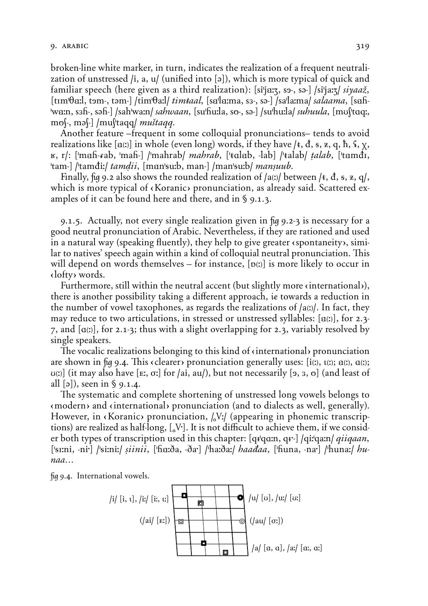broken-line white marker, in turn, indicates the realization of a frequent neutralization of unstressed /i, a, u/ (unified into [ə]), which is more typical of quick and familiar speech (here given as a third realization): [si<sup>i</sup>ja:z, so-, so-] /si<sup>i</sup>ja:z/ *siyaaž*, **(tIm'†Ä:l, tÙm-, tÈm-) /tim'†a:l/** *tim≠aal˚* **(sÄ'lÄ:ma, s'-, sÈ-) /sa'la:ma/** *salaama˚* **(sÄH- 'wÄ:n, s'H-, sÈH-) /sah'wa:n/** *sahwaan˚* **(su'Hu:la, sP-, sÈ-) /su'hu:la/** *suhuula˚* **(mUS'tA***›:***,** mo\-, mə\- $\vert$  /mu\'taqq/ *mu\`taqq*.

Another feature –frequent in some colloquial pronunciations– tends to avoid realizations like [a(:)] in whole (even long) words, if they have  $/t$ , đ, s, z, q, ħ, ˤ, χ, *E***, r/: ['mah-***fab, 'mah-***] /'mahrab/** *mahrab,* **['talab, -lab] /'talab/** *talab***, ['tamdī,** 'tam-] /'tamdi:/ *tamdii*, [man'su:b, man-] /man'su:b/ *mansuub*.

*Finally,*  $\alpha$  *9.2 also shows the rounded realization of*  $\alpha$ *<i>(a)* between  $\alpha$ *t*, *d*, *s*, *z*, *q*/*,* which is more typical of  $\langle$ Koranic $\rangle$  pronunciation, as already said. Scattered examples of it can be found here and there, and in § 9.1.3.

9.1.5. Actually, not every single realization given in *û* 9.2-3 is necessary for a good neutral pronunciation of Arabic. Nevertheless, if they are rationed and used in a natural way (speaking fluently), they help to give greater  $\epsilon$  spontaneity), similar to natives' speech again within a kind of colloquial neutral pronunciation. This will depend on words themselves – for instance,  $[\mathbf{p}(t)]$  is more likely to occur in  $\langle$ lofty $\rangle$  words.

Furthermore, still within the neutral accent (but slightly more  $\langle$  international $\rangle$ ), there is another possibility taking a different approach, *ie* towards a reduction in the number of vowel taxophones, as regards the realizations of **/a***[***:***]***/**. In fact, they may reduce to two articulations, in stressed or unstressed syllables:  $[a(1)]$ , for 2.3-7, and  $[\alpha(x)]$ , for 2.1-3; thus with a slight overlapping for 2.3, variably resolved by single speakers.

The vocalic realizations belonging to this kind of  $\langle$  international pronunciation are shown in  $\mu$  9.4. This (clearer) pronunciation generally uses:  $\iota$ i(*z*),  $\iota$ (*z*),  $\alpha$ (*z*);  $U(t)$  (it may also have [ $E$ ;,  $\sigma$ :] for /ai,  $\alpha$ u/), but not necessarily [ $\sigma$ ,  $\alpha$ ,  $\sigma$ ] (and least of all **(È)**), seen in § 9.1.4.

The systematic and complete shortening of unstressed long vowels belongs to  $\langle$  modern $\rangle$  and  $\langle$  international $\rangle$  pronunciation (and to dialects as well, generally). However, in «Koranic» pronunciation,  $\frac{1}{2}$ *V*:/ (appearing in phonemic transcriptions) are realized as half-long, [N<sup>t</sup>]. It is not difficult to achieve them, if we consider both types of transcription used in this chapter:  $\left[\frac{q}{q}a_{\text{max}}, \frac{q}{r}\right]$  / $\frac{q}{q}a_{\text{max}}$ **('***†***I:ni, -ni;) /'***†***i:ni:/** *«iinii˚* **('HÄ:∑a, -∑a;) /'ha:∑a:/** *haaÉaa˚* **('Huna, -na;) /'huna:/** *hunaa…*

*û* 9.4. International vowels.

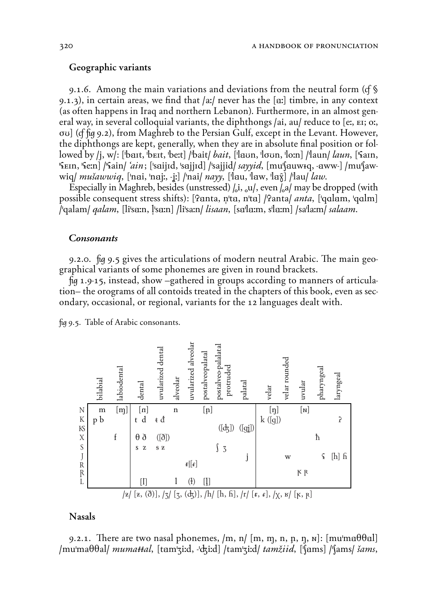### Geographic variants

9.1.6. Among the main variations and deviations from the neutral form (*Ô* § 9.1.3), in certain areas, we find that /a:/ never has the [a:] timbre, in any context (as often happens in Iraq and northern Lebanon). Furthermore, in an almost general way, in several colloquial variants, the diphthongs /ai, au/ reduce to [e:, EI; o:, **øU)** (*Ô û* 9.2), from Maghreb to the Persian Gulf, except in the Levant. However, the diphthongs are kept, generally, when they are in absolute final position or followed by /j, w/: ['bait, 'beit, 'be:t] /'bait/ *bait*, ['laun, 'loun, 'lo:n] /'laun/ *laun*, ['fain,  $\frac{1}{2}$   $\frac{1}{2}$   $\frac{1}{2}$   $\frac{1}{2}$   $\frac{1}{2}$   $\frac{1}{2}$   $\frac{1}{2}$   $\frac{1}{2}$   $\frac{1}{2}$   $\frac{1}{2}$   $\frac{1}{2}$   $\frac{1}{2}$   $\frac{1}{2}$   $\frac{1}{2}$   $\frac{1}{2}$   $\frac{1}{2}$   $\frac{1}{2}$   $\frac{1}{2}$   $\frac{1}{2}$   $\frac{1}{2}$   $\frac{1}{2}$   $\frac{1}{2}$  **wiq**/  $mu\delta awwiq$ , ['nai, 'naj:, -j:] /'nai/  $nayy$ , ['lau, 'law, 'la $\hat{\chi}$ ] /'lau/ *law*.

Especially in Maghreb, besides (unstressed)  $\int_0$ i,  $\int_0$ u/, even  $\int_0$ a/ may be dropped (with possible consequent stress shifts): ['tanta, n'ta, n'ta] /'tanta/ *anta*, ['qalam, 'qalm] /'qalam/ *qalam*, [li'sa:n, l'sa:n] /li'sa:n/ *lisaan*, [sa'la:m, s'la:m] /sa'la:m/ *salaam*.

#### **Consonants**

9.2.0. *û* 9.5 gives the articulations of modern neutral Arabic. *˛*e main geographical variants of some phonemes are given in round brackets.

*û* 1.9-15, instead, show –gathered in groups according to manners of articulation– the orograms of all contoids treated in the chapters of this book, even as secondary, occasional, or regional, variants for the 12 languages dealt with.

*û* 9.5. Table of Arabic consonants.



### Nasals

9.2.1. There are two nasal phonemes,  $/m$ ,  $n/m$ ,  $m$ ,  $n$ ,  $n$ ,  $n$ ,  $n$ ):  $[mu'ma\theta\theta\alpha]$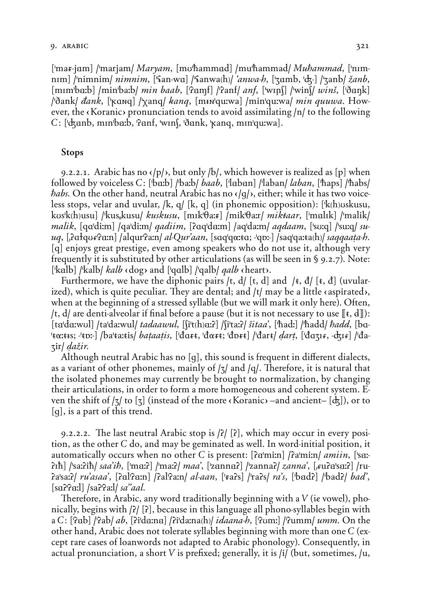# 9. *arabic* 321

['ma*t*-jam] /'marjam/ *Maryam*, [mʊ'hammad] /mu'hammad/ *Muhammad*, ['nɪm**nim**] /'nimnim/ *nimnim*, ['fan-wa] /'fanwa(h)/ '*anwa-h*, ['zamb, 'dz-] /'zanb/  $\zeta$ *anb*, **[mim'ba:b]** /min'ba:b/ *min baab*, ['tamf] /'tanf/ *anf*, ['win\] /'win\/ *wins*, ['ðank] **/'∑ank/** *Éank˚* **('***º***A***,›***) /'Xan***›***/** *Æanq˚* **(m¢***,***'***›***u:wa) /min'***›***u:wa/** *min quuwa˘* However, the  $\langle$ Koranic $\rangle$  pronunciation tends to avoid assimilating  $/n/$  to the following *C\* **('GÄnb, mIn'bÄ:b, 'öÄnf, 'wInS, '∑Änk, '***º***an***›***, mIn'***›***u:wa)**.

### Stops

9.2.2.1. Arabic has no  $\langle p \rangle$ , but only  $\langle b \rangle$ , which however is realized as [p] when followed by voiceless C: ['ba:b] /'ba:b/ *baab*, ['laban] /'laban/ *laban*, ['haps] /'habs/ *habs*. On the other hand, neutral Arabic has no  $\langle \cdot | q \rangle$ , either; while it has two voiceless stops, velar and uvular,  $/k$ ,  $q/ [k, q]$  (in phonemic opposition): [k(h)uskusu, **kUs'k***[***h***]***usu) /'kus"kusu/** *kuskusu˚* **(mIk'†a:***5***) /mik'†a:r/** *mik≠aar˚* **('mÄlIk) /'malik/** *malik*, [qa'di:m] /qa'di:m/ *qadiim*, [?aq'da:m] /aq'da:m/ *aqdaam*, ['su:q] /'su:q/ *su*uq, [dot que Para] / alqur Para / al-Qur'aan, [saq qoxta; -qpx-] / saq qaxta (h) saqqaata-h. **(***›***)** enjoys great prestige, even among speakers who do not use it, although very frequently it is substituted by other articulations (as will be seen in § 9.2.7). Note: ['kalb] /'kalb/ *kalb*  $\langle$  dog> and ['qalb] /'qalb/ *qalb*  $\langle$  heart>.

Furthermore, we have the diphonic pairs /t,  $d$ / [t, d] and /t,  $d$ / [t,  $d$ ] (uvularized), which is quite peculiar. They are dental; and /t/ may be a little *caspirated*, when at the beginning of a stressed syllable (but we will mark it only here). Often, /t, d/ are denti-alveolar if final before a pause (but it is not necessary to use  $[\![t, d]\!]$ ): **(tÄ'dÄ:wUl) /ta'da:wul/** *tadaawul˚* **(Si't***[***h***]***Ä:ö) /Si'ta:ö/** *∞itaa'˚* **('***h***ad:) /'***h***add/** *∆add˚* **(bA-** 'tα:tis; -'tD:-] /ba'ta:tis/ bataatis, ['đαrt, 'đαrt; 'đɒrt] /'đart/ dart, ['đαzīr, -dzīr] /'đa-**Zir/** *ƒa`ir˘*

Although neutral Arabic has no [q], this sound is frequent in different dialects, as a variant of other phonemes, mainly of  $\vert \tau \vert$  and  $\vert \rho \vert$ . Therefore, it is natural that the isolated phonemes may currently be brought to normalization, by changing their articulations, in order to form a more homogeneous and coherent system. Even the shift of  $\left[\frac{z}{3}\right]$  to  $\left[\frac{z}{3}\right]$  (instead of the more  $\kappa$  Koranic) –and ancient–  $\left[\frac{dz}{ds}\right]$ ), or to **(g)**, is a part of this trend.

9.2.2.2. *˛*e last neutral Arabic stop is **/ö/ (ö)**, which may occur in every position, as the other *C* do, and may be geminated as well. In word-initial position, it automatically occurs when no other *C* is present: [?a'mi:n] /?a'mi:n/ *amiin*, ['sa:**i**oih] /'sa:cih/ *saa'ih*, ['ma:col /'ma:col *maa'*, ['zannacol] /'zannacol *zanna'*, [<sub>1</sub> $\mu$ uca'sa:col] /ru**öa'sa:ö/** *ru'asaa'˚* **(öÄl'öÄ:n) /öal'öa:n/** *al-aan˚* **('***5***aös) /'raös/** *ra's˚* **('bÄdö) /'badö/** *bad'˚* **(sÄö'öÄ:l) /saö'öa:l/** *sa''aal˘*

Therefore, in Arabic, any word traditionally beginning with a *V* (*ie* vowel), phonically, begins with **/ö/ (ö)**, because in this language all phono-syllables begin with a C: ['Pab] /'Pab/ *ab*, [Pi'da:na] /Pi'da:na(h)/ *idaana-h*, ['Pum:] /'Pumm/ *umm*. On the other hand, Arabic does not tolerate syllables beginning with more than one *C* (except rare cases of loanwords not adapted to Arabic phonology). Consequently, in actual pronunciation, a short *V* is prefixed; generally, it is **/i/** (but, sometimes, **/u,**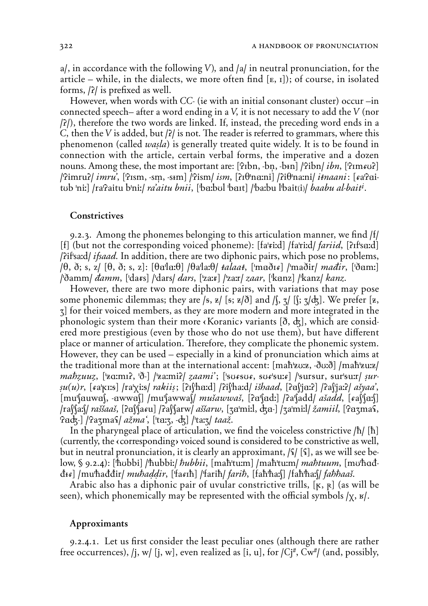**a/**, in accordance with the following *V]˚* and **/a/** in neutral pronunciation, for the article – while, in the dialects, we more often find  $[\mathbf{E}, \mathbf{I}]$ ; of course, in isolated forms, **/ö/** is prefixed as well.

However, when words with *CC-* (*¤* with an initial consonant cluster) occur –in connected speech– after a word ending in a *V˚* it is not necessary to add the *V* (nor **/ö/**), therefore the two words are linked. If, instead, the preceding word ends in a *C˚* then the *V* is added, but **/ö/** is not. *˛*e reader is referred to grammars, where this phenomenon (called *wasla*) is generally treated quite widely. It is to be found in connection with the article, certain verbal forms, the imperative and a dozen nouns. Among these, the most important are: [PIbn, -bn, -b+n] /Pibn/ *ibn*, [PIm<sup>*RUS*]</sup>  $\frac{1}{2}$ imru? *imru*', [ˈʔɪsm, -sm, -s+m] /'?ism/ *ism*, [?ɪθ'na:ni] /?iθ'na:ni/ *i‡naani* : [*ɛ*aˈʔai $t$ ub 'ni:] /ra'?aitu b'ni:/ *ra'aitu bnii*, ['ba:bul 'bart] /'ba:bu l'bait(i)/ *baabu al-bait<sup>i</sup>*.

# **Constrictives**

9.2.3. Among the phonemes belonging to this articulation manner, we find **/f/** [f] (but not the corresponding voiced phoneme): [fa'*<i>xixid]* [fa'rixid] *fariid*, [?*ri*'saxd] **/öif'sa:d/** *ifsaad˘* In addition, there are two diphonic pairs, which pose no problems, **/†, ∑÷ s, z/ (†, ∑÷ s, z)**: **(†Ä'lÄ:†) /†a'la:†/** *≠alaa≠˚* **('mÄ∑I***R***) /'ma∑ir/** *maÉir˚* **('∑Äm:) /'∑amm/** *Éamm˚* **('da***5***s) /'dars/** *dars˚* **('za:***5***) /'za:r/** *zaar˚* **('kÄnz) /'kanz/** *kanz˘*

However, there are two more diphonic pairs, with variations that may pose some phonemic dilemmas; they are  $/s$ ,  $z/ [s; z/\delta]$  and  $\sqrt{s}$ ,  $\sqrt{s}$ ,  $\sqrt{s}$ ,  $\sqrt{s}$ ,  $\sqrt{s}$ ,  $\sqrt{s}$  prefer [ $\overline{z}$ , **Z)** for their voiced members, as they are more modern and more integrated in the phonologic system than their more  $\langle$ Koranic $\rangle$  variants  $[\delta, d_{\zeta}]$ , which are considered more prestigious (even by those who do not use them), but have different place or manner of articulation. Therefore, they complicate the phonemic system. However, they can be used – especially in a kind of pronunciation which aims at the traditional more than at the international accent: **(ma***h***'***Ã***U:***Ã***, -***D***U:***D***) /ma***h***'***Ã***u:***Ã***/** *mahzuuz*, ['zaːmɪ?, 'ð-] /'zaːmi?/ *zaami*'; ['sursur, sur'suːr] /'sursur, sur'suːr/ *sur-«u(u)r˚* **(***R***a'***º***I:***†***) /ra'Xi:***†***/** *raÆii«÷* **(öIS'hÄ:d) /öiS'ha:d/** *i∞haad˚* **(öÄS'jÄ:ö) /öaS'ja:ö/** *a∞yaa'˚* **(mu'SÄuwÄS, -ÄwwÄS) /mu'SawwaS/** *mu∞awwa∞˚* **(öÄ'SÄd:) /öa'Sadd/** *a∞add˚* **(***R***aS'SÄ:S) /raS'Sa:S/** *ra∞∞aa∞˚* **(öÄS'Sa***R***u) /öaS'Sarw/** *a∞∞arw˚* **(ZÄ'mi:l, GÄ-) /Za'mi:l/** *`amiil˚* **('öÄZma***H***,** 'Padz-] /'Pazma<sup>s</sup>/ *ažma*<sup>°</sup>, ['ta:z, -dz] /'ta:z/ *taaž*.

In the pharyngeal place of articulation, we find the voiceless constrictive **/***h***/ (***h***)** (currently, the  $\langle$  corresponding $\rangle$  voiced sound is considered to be constrictive as well, but in neutral pronunciation, it is clearly an approximant, **/***H***/ (***H***)**, as we will see below, § 9.2.4): **('***h***Ubbi) /'***h***ubbi:/** *∆ubbii˚* **(ma***h***'tu:m) /ma***h***'tu:m/** *ma∆tuum˚* **(mU'***h***A***d*d+e] /muthaddir/ muthaddir, ['faeth] /'farih/ farih, [fahtha: [] /fahtha: (/ fahthaas.

Arabic also has a diphonic pair of uvular constrictive trills,  $[\kappa, \kappa]$  (as will be seen), which phonemically may be represented with the official symbols  $/\chi$ ,  $\kappa$ .

# Approximants

9.2.4.1. Let us first consider the least peculiar ones (although there are rather free occurrences),  $\vert j, w \vert$  [j, w], even realized as [i, u], for  $\vert C^{i\mu}$ ,  $C^{i\mu}$  (and, possibly,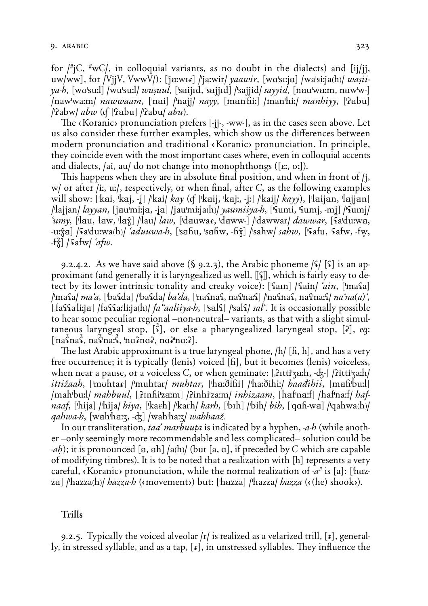for  $f^{\#}$ iC,  $\#$ wC/, in colloquial variants, as no doubt in the dialects) and [ii/ii, uw/ww], for /VijV, VwwV/): ['jaːwɪ*ɪ*] /'jaːwir/ *yaawir*, [wɑˈsɪːja] /waˈsiːja(h)/ *waṣii*- $\gamma$ a-b, [wo'su:]] /wu'su:]/ wusuul, ['saijid, 'sajjid] /'sajjid/ sayyid, [nau'wa:m, naw'w-] /nawwaxm/ *nawwaam*, ['nai] /'najj/ *nayy*, [man'hiː] /man'hiː/ *manhiyy*, ['Pabu]  $\alpha$  / Pabw  $\alpha$  abw (cf [Pabu] / Pabu  $\alpha$  abu).

The (Koranic) pronunciation prefers [-ij-, -ww-], as in the cases seen above. Let us also consider these further examples, which show us the differences between modern pronunciation and traditional (Koranic) pronunciation. In principle, they coincide even with the most important cases where, even in colloquial accents and dialects, /ai, au/ do not change into monophthongs ([ $E$ ,  $\sigma$ .]).

This happens when they are in absolute final position, and when in front of  $j$ ,  $w/$  or after /i., u./, respectively, or when final, after C, as the following examples will show: ['kai, 'kaj, -j] /'kai/ *kay* (cf ['kaij, 'kaj:, -jː] /'kaij/ *kayy*), ['laijan, 'lajjan] ||lajjan/ *layyan*, [jau'miːja, -ja] /jau'miːja(h)/ *yaumiiya-b*, [ˈsumi, ˈsumj, -mj] /ˈsumj/ *umy*, ['lau, 'law, 'lax̄] /'lau/ *law*, ['dauwar, 'daww-] /'dawwar/ *dawwar*, [fa'duːwa, -u:x̂a] /sa du:wa(h)/ *aduuwa-b*, [sahu, sahw, -hx̂] /sahw/ sahw, [safu, safw, -fw,  $-f_{N}^{s}$ ] /ˈ<sup>c</sup>afw/ '*afw*.

9.2.4.2. As we have said above (§ 9.2.3), the Arabic phoneme  $\lvert \xi \rvert$  [ $\xi$ ] is an approximant (and generally it is laryngealized as well, [[[4]], which is fairly easy to detect by its lower intrinsic tonality and creaky voice): ['fain] /'fain/ 'ain, ['mafa] /ˈmasa/ *ma'a*, [ˈbasda] /ˈbasda/ *ba'da*, [ˈnasnas, nasˈnaːs] /ˈnasnas, nasˈnaːs/ *na'na*(*a*)', [fassalizia] /fassa:lizia(h)/  $fa$  *adiiya-b*, [sals] /sals/ sal'. It is occasionally possible to hear some peculiar regional –non-neutral– variants, as that with a slight simultaneous laryngeal stop, [4], or else a pharyngealized laryngeal stop, [7], eq:  $[\text{na} \hat{\text{S}} \text{na} \hat{\text{S}}$ ,  $\text{na} \hat{\text{S}} \text{na} \hat{\text{S}}$ ,  $\text{na} \hat{\text{S}} \text{na} \hat{\text{S}}$ ,  $\text{na} \hat{\text{S}} \text{na} \hat{\text{S}}$ .

The last Arabic approximant is a true laryngeal phone,  $/h/$  [fi, h], and has a very free occurrence; it is typically (lenis) voiced [h], but it becomes (lenis) voiceless, when near a pause, or a voiceless C, or when geminate:  $[\hat{i}$ rtti'za:h,  $-\hat{d}$ ;  $\hat{j}$  /  $\hat{i}$ itti'za:h/ *ittižaah*, ['muhta*s*] /'muhtar/ *muhtar*, ['haːðiĥi] /'haːðihiː/ *haađihii*, [maĥbuːl] /mahbu:l/ *mahbuul*, [Pinhi'za:m] /Pinhi'za:m/ *inhizaam*, [haf'na:f] /haf'na:f/ *haf*naaf, ['hija] /'hija/ hiya, ['karh] /'karh/ karh, ['bɪh] /'bih/ bih, ['qafi-wa] /'qahwa(h)/ *qahwa-h*, [wah<sup>'</sup>haːz, -dz] /wah'haːz/ *wahhaaž*.

In our transliteration, *taa' marbuuta* is indicated by a hyphen, *-a-h* (while another –only seemingly more recommendable and less complicated– solution could be *-ah*); it is pronounced [a, ah] /a(h)/ (but [a, a], if preceded by C which are capable of modifying timbres). It is to be noted that a realization with [h] represents a very careful, (Koranic) pronunciation, while the normal realization of  $-a^{\#}$  is [a]: ['hazza] /'hazza(h)/ *hazza-h* («movement») but: ['hazza] /'hazza/ *hazza* («(he) shook»).

#### **Trills**

9.2.5. Typically the voiced alveolar  $|r|$  is realized as a velarized trill,  $[r]$ , generally, in stressed syllable, and as a tap,  $[\epsilon]$ , in unstressed syllables. They influence the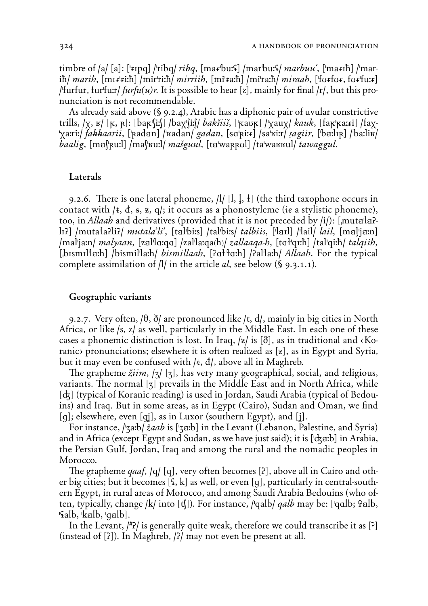timbre of /a/ [a]: [' $\pi$ pq] /'ribq/ *ribq*, [mar<sup>burs]</sup> /marburs] *marbuu*', ['marnh] /'mar- $\int$  ih/ *marih*, [mɪ*ɛ*ˈɛiːh] /mirˈriːh/ *mirriih*, [miˈɛaːh] /miˈraːh/ *miraah*, [ˈfʊɛfʊɛ, fʊɛˈfuːɛ] /'furfur, furfurt  $furfu(u)r$ . It is possible to hear [z], mainly for final /r/, but this pronunciation is not recommendable.

As already said above (§ 9.2.4), Arabic has a diphonic pair of uvular constrictive trills,  $\chi$ ,  $\kappa$  [ $\kappa$ ,  $\kappa$ ]: [bak'[i:[] /bax'[i:[] *bakšiiš*, [ $\kappa$ auk] / $\chi$ aux/ kauk, [fak' $\kappa$ axi] /fax-'yari:/ fakkaarii, ['kadan] /'vadan/ gadan, [sq'kiːk] /sa'viːr/ sagiir, ['baːlɪk] /'baːliv/ baalig, [maf|pu:]] /maf|ru:]/ mašguul, [ta|wappul] /ta|warkul] tawaggul.

# Laterals

9.2.6. There is one lateral phoneme,  $/1/$  [1, 1, 1] (the third taxophone occurs in contact with  $/t$ ,  $\dot{d}$ ,  $s$ ,  $z$ ,  $q$ ; it occurs as a phonostyleme (ie a stylistic phoneme), too, in *Allaah* and derivatives (provided that it is not preceded by /i/): [muta<sup>l</sup>la?-[12] /muta'la?li?/ *mutala'li'*, [tal'bi:s] /tal'bi:s/ *talbiis*, ['lail] /'lail/ *lail*, [mal'ia:n] /maliam/ malyaan, [zalilo:qo] /zalila:qa(h)/ zallaaga-b, [toliqi:h] /taliqi:h/ talqiib, [bismillath] /bismillath/ *bismillaah*, [?a<sup>1</sup>Hath] /?allath/ *Allaah*. For the typical complete assimilation of  $|1|$  in the article al, see below (§ 9.3.1.1).

### Geographic variants

9.2.7. Very often,  $\ket{\theta}$ ,  $\delta$  are pronounced like /t, d/, mainly in big cities in North Africa, or like /s, z/ as well, particularly in the Middle East. In each one of these cases a phonemic distinction is lost. In Iraq,  $|z|$  is  $|\delta|$ , as in traditional and  $\delta$ Koranic) pronunciations; elsewhere it is often realized as [ $z$ ], as in Egypt and Syria, but it may even be confused with  $/t$ ,  $d/$ , above all in Maghreb.

The grapheme  $\chi i$ *im*,  $|\tau|$  [ $\tau$ ], has very many geographical, social, and religious, variants. The normal [7] prevails in the Middle East and in North Africa, while [dz] (typical of Koranic reading) is used in Jordan, Saudi Arabia (typical of Bedouins) and Iraq. But in some areas, as in Egypt (Cairo), Sudan and Oman, we find [q]; elsewhere, even [qj], as in Luxor (southern Egypt), and [j].

For instance, /ˈʒaːb/ *žaab* is [ˈʒaːb] in the Levant (Lebanon, Palestine, and Syria) and in Africa (except Egypt and Sudan, as we have just said); it is ['ckarb] in Arabia, the Persian Gulf, Jordan, Iraq and among the rural and the nomadic peoples in Morocco.

The grapheme *qaaf*, /q/ [q], very often becomes [?], above all in Cairo and other big cities; but it becomes  $[\S, k]$  as well, or even [q], particularly in central-southern Egypt, in rural areas of Morocco, and among Saudi Arabia Bedouins (who often, typically, change /k/ into [t]). For instance, /'qalb/ *qalb* may be: ['qalb; 'Palb,  $\mathcal{L}$ alb,  $\kappa$ alb,  $\mathcal{L}$ alb].

In the Levant,  $|^{47}$  is generally quite weak, therefore we could transcribe it as [?] (instead of [?]). In Maghreb, /?/ may not even be present at all.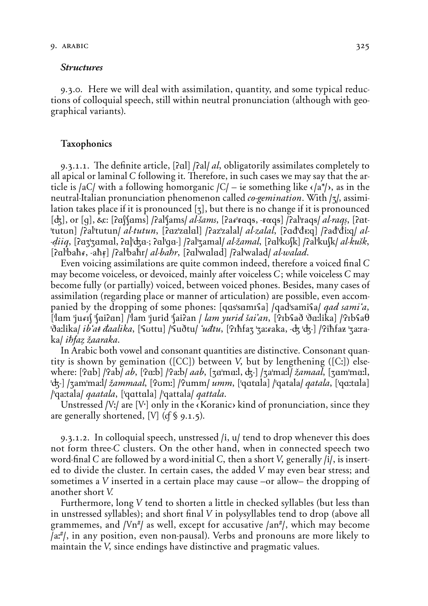#### **Structures**

9.3.0. Here we will deal with assimilation, quantity, and some typical reductions of colloquial speech, still within neutral pronunciation (although with geographical variants).

# Taxophonics

9.3.1.1. *˛*e definite article, **(öÄl) /öal/** *al˚* obligatorily assimilates completely to all apical or laminal *C* following it. Therefore, in such cases we may say that the article is  $|aC|$  with a following homorganic  $|C|$  – *ie* something like  $\langle |a^* \rangle$ , as in the neutral-Italian pronunciation phenomenon called *co-gemination*. With  $|z|$ , assimilation takes place if it is pronounced  $\lceil z \rceil$ , but there is no change if it is pronounced **(G),** or **(g),** *Â*: **(öÄS'SÄms) /öal'Sams/** *al-∞ams˚* **(öa***R***'***5***A***ݠ***, -***5囆***) /öal'ra***ݠ***/** *al-raq«˚* **(öÄt- 'tutUn) /öal'tutun/** *al-tutun˚* **(öÄz'zÄlÄl) /öaz'zalal/** *al-zalal˚* **(öA***d***'***d***¢:***›***) /öa***d***'***d***i:***›***/** *al- -ƒiiq˚* **(öÄZ'ZÄmÄl, öĬ'GÄ-÷ öÄl'gÄ-) /öal'Zamal/** *al-`amal˚* **(öÄl'kUSk) /öal'kuSk/** *al-ku∞k˚* **(öÄl'ba***hR***, -a***h{***) /öal'ba***h***r/** *al-ba∆r˚* **(öÄl'wÄlÄd) /öal'walad/** *al-walad˘*

Even voicing assimilations are quite common indeed, therefore a voiced final *C* may become voiceless, or devoiced, mainly after voiceless *C*; while voiceless *C* may become fully (or partially) voiced, between voiced phones. Besides, many cases of assimilation (regarding place or manner of articulation) are possible, even accompanied by the dropping of some phones: [qas'sami<sup>c</sup>a] /qad'sami<sup>c</sup>a] *qad sami*<sup>'</sup>*a*, **('lÄm 'ju***R***IS 'SÄiöÄn) /'lam 'jurid 'Saiöan /** *lam yurid ∞ai'an˚* **('öIb***H***a∑ '∑Ä:lika) /'öIb***H***a†** 'ða:lika/ *ibʻat đaalika*, ['Suttu] /'Suðtu/ ʻ*uđtu*, ['Pīħfaʒ 'ʒaːɛaka, -ʤ 'ʤ-] /'Piħfaz 'ʒaːra*ka***/** *ibfaz žaaraka***.** 

In Arabic both vowel and consonant quantities are distinctive. Consonant quantity is shown by gemination (**(***00***)**) between *V˚* but by lengthening (**(***0:***)**) elsewhere: **('öÄb) /'öab/** *ab˚* **('öÄ:b) /'öa:b/** *aab˚* **(ZÄ'mÄ:l, G-) /Za'ma:l/** *`amaal˚* **(ZÄm'mÄ:l, 'G-) /Zam'ma:l/** *`ammaal˚* **('öUm:) /'öumm/** *umm˚* **('***›***AtÄla) /'***›***atala/** *qatala˚* **('***›***A:tÄla) /'***›***a:tala/** *qaatala˚* **('***›***AttÄla) /'***›***attala/** *qattala˘*

Unstressed *[V:]* are *[V<sup>-</sup>]* only in the *«Koranic»* kind of pronunciation, since they are generally shortened, [V] ( $(f \S 9.1.5)$ ).

9.3.1.2. In colloquial speech, unstressed **/i, u/** tend to drop whenever this does not form three-*C* clusters. On the other hand, when in connected speech two word-final *C* are followed by a word-initial *C*, then a short *V*, generally /i/, is inserted to divide the cluster. In certain cases, the added *V* may even bear stress; and sometimes a *V* inserted in a certain place may cause –or allow– the dropping of another short *V˘*

Furthermore, long *V* tend to shorten a little in checked syllables (but less than in unstressed syllables); and short final *V* in polysyllables tend to drop (above all grammemes, and **/***é***n***ò***/** as well, except for accusative **/an***ò***/**, which may become **/a:***ò***/**, in any position, even non-pausal). Verbs and pronouns are more likely to maintain the *V*, since endings have distinctive and pragmatic values.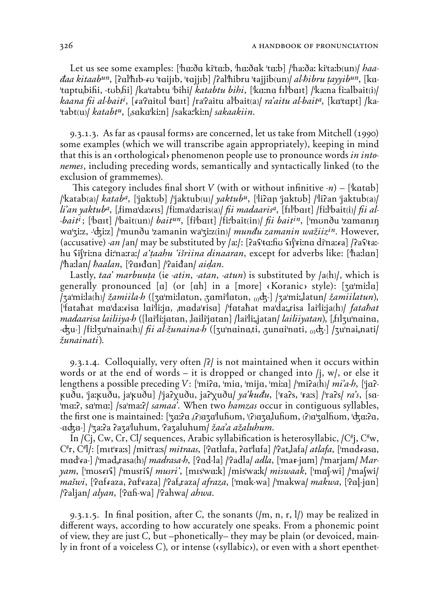Let us see some examples: ['haːða ki'taːb, 'haːðak 'taːb] /'haːðaː ki'taːb(un)/ haa*daa kitaab<sup>un</sup>*, [?al<sup>t</sup>hɪb-ɛʊ ˈtɑijɪb, ˈtɑjjɪb] /?al<sup>t</sup>hibru ˈtajjib(un) al-hibru tayyib<sup>un</sup>, [ka-'taptu<sub>l</sub>bihi, -tub<sub>i</sub>hi] /ka'tabtu 'bihi/ *katabtu bihi*, ['ka:na fil'bart] /'ka:na fi:albait(i)/ kaana fii al-bait<sup>i</sup>, [fa'Paitul 'bait] /ra'Paitu al'bait(a)/ ra'aitu al-bait<sup>a</sup>, [ka'tapt] /ka-'tabt(u)/ $katabt^u$ , [saka'ki:n] /saka:'ki:n/ sakaakiin.

9.3.1.3. As far as (pausal forms) are concerned, let us take from Mitchell (1990) some examples (which we will transcribe again appropriately), keeping in mind that this is an «orthological» phenomenon people use to pronounce words in into*nemes*, including preceding words, semantically and syntactically linked (to the exclusion of grammemes).

This category includes final short V (with or without infinitive  $-n$ ) – [katab] /katab(a)/ katab<sup>a</sup>, ['jaktub] /'jaktub(u)/ yaktub<sup>u</sup>, ['li?an 'jaktub] /'li?an 'jaktub(a)/ li'an yaktub<sup>a</sup>, [fima<sup>lda:415]</sub> /fi:malda:ris(a) fi madaaris<sup>a</sup>, [fillbait] /fi:llbait(i) fi al-</sup> *bait<sup>i</sup>*; ['bait] /'bait(un)/ *bait<sup>un</sup>*, [fi'bait] /fi:'bait(in)/ *fii bait<sup>in</sup>*, ['munðu 'zamanin wa'ziz, -'dziz] /'munðu 'zamanin wa'ziz(in)/ mundu zamanin wažiiz<sup>in</sup>. However, (accusative) -an /an/ may be substituted by /a:/: [Pas<sup>1</sup>ta:hu silvina dina:ra] /Pas<sup>1</sup>ta:hu sifri:na di:'na:ra:/ *a'taahu 'išriina dinaaran*, except for adverbs like: ['ħa:lan] /hailan/ haalan, [Pardan] /Paidan/ aidan.

Lastly, taa' marbuuta (ie -atin, -atan, -atun) is substituted by  $|a(h)|$ , which is generally pronounced [a] (or [ah] in a [more] (Koranic) style): [za'mi:la]  $|z_1\rangle = \frac{1}{2}$  /zamiila-h ([za'mi:latun, zami'latun,  $\frac{1}{2}$  /za'mi: ['fatahat ma'daxisa lai'li:ja, mada'tisa] /'fatahat ma'da: risa lai'li:ja(h)/ fatahat *madaarisa lailiiya-h* ([lai'li:jatan, laili'jatan] /lai'li:,jatan/ *lailiiyatan*), [filzu'naina, - $d_{\xi}$ u-] /fiːlʒuˈnaina(h)/ *fii al-žunaina-h* ([ʒuˈnainaˌti, ˌʒunaiˈnati, <sub>(i)</sub> $d_{\xi}$ -] /ʒuˈnai<sub>ɪ</sub>nati/ žunainati).

9.3.1.4. Colloquially, very often  $\frac{2}{i}$  is not maintained when it occurs within words or at the end of words – it is dropped or changed into  $(i, w)$ , or else it lengthens a possible preceding V: ['mi?a, 'mia, 'mija, 'miːa] /'mi?a(h)/ mi'a-h, ['ja?kuðu, 'jarkuðu, ja'kuðu] /'ja?xuðu, ja?'xuðu/ ya'kudu, ['ra?s, 'rars] /'ra?s/ ra's, [sa-'mar?, sa'mar] /sa'mar?/ samaa'. When two hamzas occur in contiguous syllables, the first one is maintained:  $[\frac{1}{2}a\cdot a\cdot a\cdot a\cdot a\cdot b\cdot a\cdot a\cdot b\cdot a\cdot a\cdot a\cdot b\cdot a\cdot a\cdot b\cdot a\cdot a\cdot b\cdot a\cdot b\cdot a\cdot b\cdot a\cdot b\cdot a\cdot b\cdot a\cdot b\cdot a\cdot b\cdot a\cdot b\cdot a\cdot b\cdot a\cdot b\cdot a\cdot b\cdot a\cdot b\cdot a\cdot b\cdot a\cdot b\cdot a\cdot b\cdot a\cdot b\cdot a\cdot b\cdot a\cdot b\cdot a\cdot b\cdot a\cdot b\cdot a\cdot b\cdot a\cdot b\cdot a$ -adza-] /ˈʒaːʔa ʔaʒaˈluhum, ˈʔaʒaluhum/ *žaa'a ažaluhum*.

In /Ci, Cw, Cr, Cl/ sequences, Arabic syllabification is heterosyllabic,  $/C^{\#}$ ;  $C^{\#}$ w, C<sup>#</sup>r, C<sup>#</sup>l/: [mɪtˈɛaːs] /mitˈraːs/ *mitraas*, [ˈʔatlafa, ʔatˈlafa] /ˈʔat<sub>ɪ</sub>lafa/ *atlafa*, [ˈmadɛasa, mad'ea-] /'mad<sub>"</sub>rasa(h)/ *madrasa-h*, ['Pad-la] /'Padla/ *adla*, ['mar-jam] /'marjam/ Mar*yam*, ['mustis] /'musris] *musri*', [mis'waik] /mis'waik/ *miswaak*, ['ma]-wi] /'ma[wi] *mašwi*, [Pafraza, Pafraza] /Paf<sub>i</sub>raza/ *afraza*, ['mak-wa] /'makwa/ *makwa*, [Pa]-jan] /Paljan/ alyan, [Pah-wa] /Pahwa/ ahwa.

9.3.1.5. In final position, after C, the sonants  $(\frac{m}{n}, n, r, 1)$  may be realized in different ways, according to how accurately one speaks. From a phonemic point of view, they are just C, but -phonetically-they may be plain (or devoiced, mainly in front of a voiceless C), or intense ( $\langle \text{syllabic} \rangle$ ), or even with a short epenthet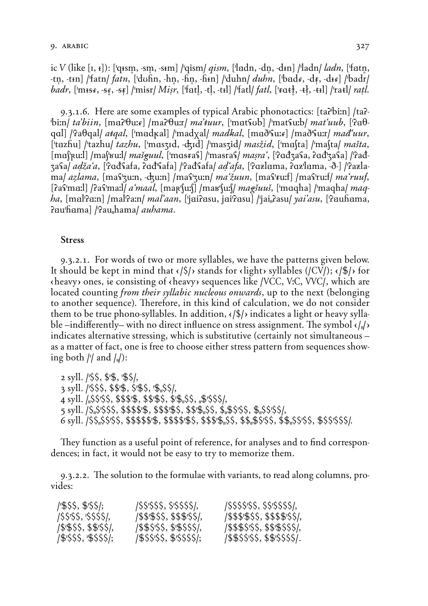ic V (like [1,  $_1$ ]): ['qism, -sm, -sim] /'qism/ *qism*, ['ladn, -dn, -din] /'ladn/ *ladn*, ['fatn, -tn, -tin] /'fatn/ *fatn*, ['dʊĥn, -hn, -ĥn, -ĥin] /'duhn/ *duhn*, ['bade, -dɛ̃, -dɪe] /'badr/ *badr*, ['m+s*x*, -s*x*, -s*x*] /'misr/ *Misr*, ['fatl, -tl, -t+l] /'fatl/ *fatl*, ['*r*at], -t}, -t+l] /'ratl/ *ratl.* 

9.3.1.6. Here are some examples of typical Arabic phonotactics: [ta?bi:n] /ta?- $\theta$  bin/ *ta'biin*, [ma]<sup>[</sup> $\theta$ u:*t*] /ma]<sup>[</sup> $\theta$ u:r/ *ma'tuur*, ['mat\fub] /'mat\fu:b/ *mat'uub*, [<sup>1</sup>] gal] *[*Paθgal] *atgal*, [ˈmadkal] /ˈmadyal] *madkal*, [maðˤεuːε] /maðˈεuːr] *mað uur*, ['tazhu] /'tazhu/ tazhu, ['maszid, -dzid] /'maszid/ masžid, ['mafta] /'mafta/ mašta, [ma['Ruːl] /ma['ʁuːl/ *mašguul*, ['mɑsɛaʕ] /'masraʕ/ *maṣra*´, ['ʔɑđʒaʕa, ʔɑđ'ʒaʕa] /ˈʔađzafa/ adža'a, [Padfafa, Pad'fafa] /Padfafa/ ad'afa, [Pazlama, Paz'lama, -ð-] /Pazlama/ azlama, [mas'zu:n, -dzu:n] /mas'zu:n/ ma'žuun, [mas'ru:f] /mas'ru:f/ ma'ruuf, [?as]mail] /?as]mail/ a maal, [mar] [uil] /mar] [uil] magšuuš, [maqha] /maqha/ maq*ha*, [mal'Paːn] /mal'Paːn/ *mal'aan*, ['jaiPasu, jai'Pasu] /'jai<sub>"</sub>Pasu/ y*ai'asu*, ['Pauĥama, Pau'hama] /Pau<sub>i</sub>hama/ *auhama*.

# **Stress**

9.3.2.1. For words of two or more syllables, we have the patterns given below. It should be kept in mind that  $\langle \xi \rangle$  stands for  $\langle$ light> syllables (/CV/);  $\langle \xi \rangle$  for  $\langle$  heavy ones, ie consisting of  $\langle$  heavy sequences like /VCC, V:C, VVC/, which are located counting *from their syllabic nucleous onwards*, up to the next (belonging to another sequence). Therefore, in this kind of calculation, we do not consider them to be true phono-syllables. In addition,  $\langle \frac{s}{r} \rangle$  indicates a light or heavy syllable –indifferently– with no direct influence on stress assignment. The symbol  $\langle \cdot | \cdot \rangle$ indicates alternative stressing, which is substitutive (certainly not simultaneous – as a matter of fact, one is free to choose either stress pattern from sequences showing both // and  $/$ .

 syll.  $/$ \$\$, \$'\$, '\$\$/, syll. / \$\$\$, \$\$\$, \$\$\$\$, '\$<sub>1</sub>\$\$/, syll.  $/$ <sub>1</sub> $\$ S'SS, \$\$\$'\$, \$\$'\$\$, \$'\$<sub>1</sub>,\$\$,  $\frac{1}{2}$ '\$\$\$\$ syll. /\$<sub>"</sub>\$'\$\$\$, \$\$\$\$'\$, \$\$\$'\$\$, \$\$'\$<sub>"</sub>\$\$, \$<sub>"</sub>\$\$'\$\$, \$<sub>"</sub>\$\$'\$\$!, 

They function as a useful point of reference, for analyses and to find correspondences; in fact, it would not be easy to try to memorize them.

9.3.2.2. The solution to the formulae with variants, to read along columns, provides:

| /\$\$\$, \$'\$\$/;      | /\$\$'\$\$\$, \$'\$\$\$\$/,    | /\$\$\$\$'\$\$, \$\$'\$\$\$\$!, |
|-------------------------|--------------------------------|---------------------------------|
| $/$ SS'SS, 'SSSS/,      | $1$ \$\$'\$\$\$, \$\$\$'\$\$/, | /\$\$\$'\$\$\$, \$\$\$\$'\$\$/, |
| /\$'\$\$\$, \$\$'\$\$/, | /\$\$\$'\$\$, \$'\$\$\$\$/,    | /\$\$\$\$'\$\$, \$\$'\$\$\$\$/, |
| /\$'\$\$\$, '\$\$\$\$/; | /\$\$\$'\$\$, \$'\$\$\$\$/;    | /\$\$\$\$'\$\$, \$\$'\$\$\$\$/. |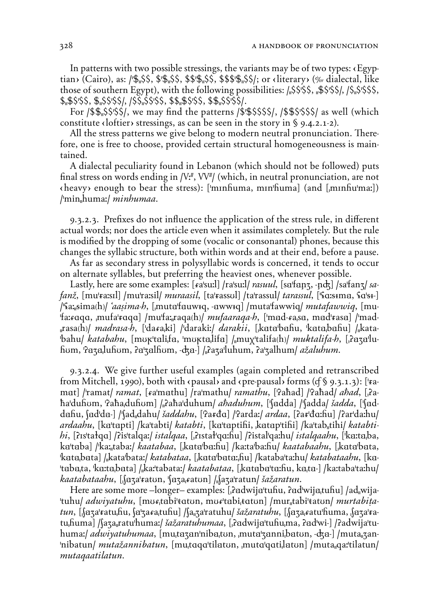In patterns with two possible stressings, the variants may be of two types:  $\langle{Egyp-}$ tian> (Cairo), as: /' $\frac{6}{3}$ ,  $\frac{6}{3}$ ,  $\frac{6}{3}$ ,  $\frac{6}{3}$ ,  $\frac{6}{3}$ ,  $\frac{6}{3}$ ,  $\frac{6}{3}$ ,  $\frac{6}{3}$ ,  $\frac{6}{3}$ , or < literary> (% dialectal, like those of southern Egypt), with the following possibilities: **/"**àà**'**àà**, "**9à**'**àà**/, /**à**"**à**'**ààà**,** *à***"**9à**'**àà**,** 9**"**àà**'**àà**/, /**àà**"**àà**'**àà**,** *àà***"**9à**'**àà**,** *à*9**"**àà**'**àà**/**.

For **/***à*9**"**àà**'**àà**/**, we may find the patterns **/***à***'**9àààà**/**, **/***à*9à**'**ààà**/** as well (which constitute  $\langle$  loftier $\rangle$  stressings, as can be seen in the story in § 9.4.2.1-2).

All the stress patterns we give belong to modern neutral pronunciation. Therefore, one is free to choose, provided certain structural homogeneousness is maintained.

A dialectal peculiarity found in Lebanon (which should not be followed) puts final stress on words ending in /V<sup>#</sup>, VV<sup>#</sup>/ (which, in neutral pronunciation, are not çheavyÇ enough to bear the stress): **('mInHuma, mIn'Huma)** (and **(&mInHu'ma:)**) **/'min"huma:/** *minhumaa˘*

9.3.2.3. Prefixes do not influence the application of the stress rule, in different actual words; nor does the article even when it assimilates completely. But the rule is modified by the dropping of some (vocalic or consonantal) phones, because this changes the syllabic structure, both within words and at their end, before a pause.

As far as secondary stress in polysyllabic words is concerned, it tends to occur on alternate syllables, but preferring the heaviest ones, whenever possible.

Lastly, here are some examples: [*A*a'su:] /ra'su:]/ *rasuul*, [sa'fanz, -ndz] /sa'fanz/ *safan`˚* **(mu'***5***a:sIl) /mu'ra:sil/** *muraasil˚* **(ta'***5***assUl) /ta'rassul/** *tarassul˚* **('***H***A:***†***¢mÄ,** *H***A'***†***¢-) /'***H***a:"***†***ima***[***h***]***/** *'aa«ima-h˚* **(&mutÄ'fÄuw¢***›***, -Äww¢***›***) /muta'fawwi***›***/** *mutafawwiq˚* **(mu-** 'fa: cqqa, mufa' raqa] /mu'fa: raqa(h)/ mufaaraqa-b, ['mad-sa,sa, mad' rasa] /'mad-**"rasa***[***h***]***/** *madrasa-h˚* **('da***R***a&ki) /'daraki:/** *darakii˚* **(&kÄtÄ'bÄHu, 'kÄtÄ&bÄHu) /"kata- 'bahu/** *katabahu*, [mʊkˈtaliˌfa, 'mʊktaˌlifa] / muxˈtalifa(h)/ *muktalifa-h*, [ˌʔaʒaˈluhum, Paza,luhum, Pa'zalhum, -dza-] / Paza'luhum, Pa'zalhum/ *ažaluhum*.

9.3.2.4. We give further useful examples (again completed and retranscribed from Mitchell, 1990), both with  $\langle$  pausal) and  $\langle$  pre-pausal) forms (*c* § 9.3.1.3): [<sup> $\angle$ </sup>*fa***mat**) /'ramat/ *ramat*, [*k*a'mathu] /ra'mathu/ *ramathu*, ['Paħad] /'Paħad/ *aħad*, [ˌPa*h***a'duHUm, 'öa***h***a&duHUm) /"öa***h***a'duhum/** *a∆aduhum˚* **('SÄdda) /'Sadda/** *∞adda˚* **('SÄddÄHu, SÄd'dÄ-) /'Sad"dahu/** *∞addahu˚* **('öa***5d***A) /'öarda:/** *ardaa˚* **(öa***5***'***d***A:Hu) /öar'da:hu/** *ardaahu*, [ka'tapti] /ka'tabti/ *katabti*, [ka'taptifii, katap'tifii] /ka'tab<sub>"</sub>tihi/ *katabtibi***, [?ɪs'tałqɑ] /?is'talqa:/** *istalqaa***, [ˌ?ɪstał'qɑːhu] /?istal'qaːhu/** *istalqaahu***, ['kaːtaˌba,** ka'taba] /'ka:<sub>"</sub>taba:/ *kaatabaa*, [kata'ba:hu] /ka:ta'ba:hu/ *kaatabaahu*, [kata'bata, 'kata<sub>i</sub>bata] / kata'bata:/ *katabataa*, [kata'bata: fiu] /kataba'ta:hu/ *katabataahu*, [ka-'taba<sub>i</sub>ta, 'ka:ta<sub>i</sub>bata] /<sub>ii</sub>ka:'tabata:/ *kaatabataa*, [ˌkataba'ta:hu, ka<sub>i</sub>ta-] /ka:taba'ta:hu/ *kaatabataahu˚* **(&SÄZa'***5***atUn, 'SÄZa&***R***atUn) /"SaZa'ratun/** *∞a`aratun˘*

Here are some more –longer– examples: [*dedwija*'tuhu, *dedwija<sub>t</sub>tuhu] /ad* wija-**'tuhu/** *adwiyatuhu˚* **(mU***R***&tÄbi'***t***AtUn, mU***R***'tÄbi&***t***AtUn) /mur"tabi'***t***atUn/** *murtabi=atun˚* **(&SÄZa'***5***atu&Hu, SÄ'Za***R***a&tuHu) /Sa"Za'ratuhu/** *∞a`aratuhu˚* **(&SÄZa&***R***atu'Huma, &SÄZa'***5***a**tuhuma] /(aʒa<sub>⊮</sub>ratu<sup>|</sup>humaː/ *šažaratuhumaa*, [<sub>1</sub>?adwija'tuhu ma, ?ad'wi-] /?adwija'tu**huma:/** *adwiyatuhumaa*, [mu<sub>i</sub>tazan'niba<sub>i</sub>ton, <sub>i</sub>muta'zanni<sub>i</sub>baton, -dza-] /muta<sub>"</sub>zan-**'nibatun/** *muta`annibatun˚* **(mu&tA***›***A'tilÄtUn, &mutA'***›***Ati&lÄtUn) /muta"***›***a:'tilatun/** mutaqaatilatun.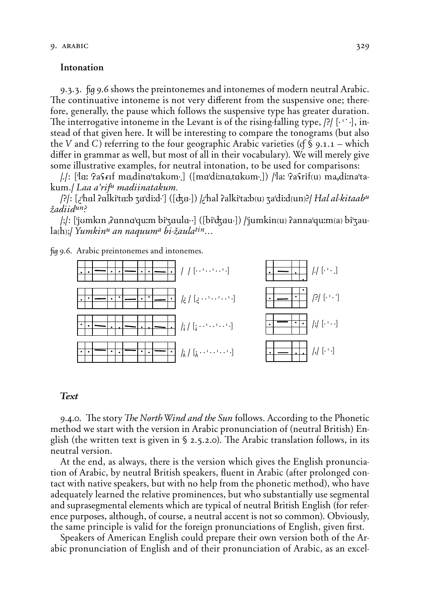# Intonation

9.3.3. fug 9.6 shows the preintonemes and intonemes of modern neutral Arabic. The continuative intoneme is not very different from the suspensive one; therefore, generally, the pause which follows the suspensive type has greater duration. The interrogative intoneme in the Levant is of the rising-falling type,  $[?]$  [ $\cdot$   $\cdot$   $\cdot$ ], instead of that given here. It will be interesting to compare the tonograms (but also the V and C) referring to the four geographic Arabic varieties (cf \  $\mathcal{S}$  9.1.1 – which differ in grammar as well, but most of all in their vocabulary). We will merely give some illustrative examples, for neutral intonation, to be used for comparisons:

 $|J|$ : ['la: 'Pasterf madina'takum.] ([ma'di:natakum.]) /'la: 'Pastrif(u) madi:na'takum./Laa a'rif<sup>u</sup> madiinatakum.

/?/: [¿ˈhal ʔalkiˈtaːb ʒaˈdiːd·] ([dʒa-]) /¿ˈhal ʔalkiˈtaːb(u) ʒaˈdiːd(un)?/ *Hal al-kitaab<sup>u</sup>* žadiid<sup>un?</sup>

/;/: ['jumkin ,?annq'qu:m bi'zaula…] ([bi'dzau-]) /'jumkin(u) ?anna'qu:m(a) bi'zau $a(h)$ ;/ Yumkin<sup>u</sup> an naquum<sup>a</sup> bi-žaula<sup>tin</sup>...

fig 9.6. Arabic preintonemes and intonemes.



### Text

9.4.0. The story *The North Wind and the Sun* follows. According to the Phonetic method we start with the version in Arabic pronunciation of (neutral British) English (the written text is given in  $\S$  2.5.2.0). The Arabic translation follows, in its neutral version.

At the end, as always, there is the version which gives the English pronunciation of Arabic, by neutral British speakers, fluent in Arabic (after prolonged contact with native speakers, but with no help from the phonetic method), who have adequately learned the relative prominences, but who substantially use segmental and suprasegmental elements which are typical of neutral British English (for reference purposes, although, of course, a neutral accent is not so common). Obviously, the same principle is valid for the foreign pronunciations of English, given first.

Speakers of American English could prepare their own version both of the Arabic pronunciation of English and of their pronunciation of Arabic, as an excel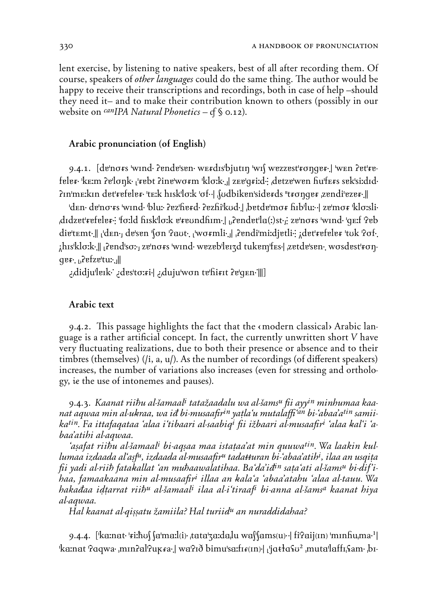lent exercise, by listening to native speakers, best of all after recording them. Of course, speakers of *other languages* could do the same thing. The author would be happy to receive their transcriptions and recordings, both in case of help –should they need it– and to make their contribution known to others (possibly in our website on *canIPA Natural Phonetics* – *Ô* § 0.12).

# Arabic pronunciation (of English)

9.4.1. [de'no*fs* 'wind ?ende'sen werdis' bjutin 'wif wezzest' *fonger*. I wen ?et' *fe***fålå***5***2 'k™:m öå'lø˙k2** ì**'***5***åbt öinå'wø***5***m 'klø:k23**œ**| z™å'g***5***i:d2\ &dåtzå'wån Hu'f™***5***s såk'si:dId2 öIn'm™:kIn dåt'***5***åfålå***5***2 't™:k hIsk'lø:k 'øf22| &SUdbikån'sidå***5***ds "t***5***ø˙gå***5* **&zåndi'åzå***5***23||**

**'d™n2 då'nø***;5***s 'wInd2 'blu:2 öåz'Hå***5***d2 öåzHi'kUd23| &båtdå'mø***5* **HIb'lu:22| zå'mø***5* **'klø:sli2 &dIdzåt'***5***åfålå***5***2\ 'fø:ld HIsk'lø:k å'***5***åUndHIm23|** ì**&öåndåt'lÄ{:}st2**œ**\ zå'nø***5***s 'wInd2 'g™:f 'öåb** die'temt.|| *den.* **de'sen 'fon '?aut.** *dwormli.**dendi'mi:djetli:* **det'refeler 'tuk '?of.** *i***his'klo:k.||** *i* **end'so:** *i* **ze'no***fs* **'wind' wezeb'leizd tukem'fes-| zetde'sen. wosdest'***f* **ongå***5***23** ì**&öåfzå'tu:23**œ**||**

**¿&didju'låIk21 ¿dås'tø:***5***i2| ¿&duju'wøn tå'Hi***5***It öå'g™n21|||)**

# Arabic text

9.4.2. This passage highlights the fact that the emodern classical Arabic language is a rather artificial concept. In fact, the currently unwritten short *V* have very fluctuating realizations, due to both their presence or absence and to their timbres (themselves) (*/i, a, u/*). As the number of recordings (of different speakers) increases, the number of variations also increases (even for stressing and orthology, *ie* the use of intonemes and pauses).

9.4.3. *Kaanat rii∆u al-∞amaali tata`aadalu wa al-∞amsu fii ayyin minhumaa kaanat aqwaa min al-uÆraa, wa iÉ bi-musaafirin ya=la'u mutala''an bi-'abaa'atin samiikatin. Fa ittafaqataa 'alaa i'tibaari al-saabiqi fii i`baari al-musaafiri 'alaa Æal'i 'abaa'atihi al-aqwaa.*

*'a«afat rii∆u al-∞amaali bi-aq«aa maa ista=aa'at min quuwatin. Wa laakin kullumaa izdaada al`asf<sup>u</sup>, izdaada al-musaafir<sup>u</sup> tada*#uran bi-ʿabaa'atih<sup>i</sup>, ilaa an usqiṭa *fii yadi al-rii∆ fataÆallat 'an mu∆aawalatihaa. Ba'da'iÉin sa=a'ati al-∞amsu bi-dif'ihaa, famaakaana min al-musaafiri illaa an Æala'a 'abaa'atahu 'alaa al-tauu. Wa hakaÉaa iƒ=arrat rii∆u al-∞amaali ilaa al-i'tiraafi bi-anna al-∞amsa kaanat hiya al-aqwaa.*

*Hal kaanat al-qissatu žamiila? Hal turiid<sup>u</sup> an nuraddidahaa?* 

9.4.4. ['ka:nat·'ri:ħʊʃ ʃa'maːl(i)· tata'za:da,lu waʃ'ʃams(u)· | fi'ʔaij(ɪn) 'mɪnɦuˌma·<sup>1</sup>|  $\frac{1}{2}$ **ka:nat '**?aqwa·<sub>*I</sub>mIn?al*<sup>?</sup>uk*fa*·*l* wa'?*i*ð bimu'sa:fI*f*(In)·*l* |'jatta<sup>2</sup><sub>4</sub>'muta'laffI<sub>1</sub>\$am·<sub>1</sub>bI-</sub>